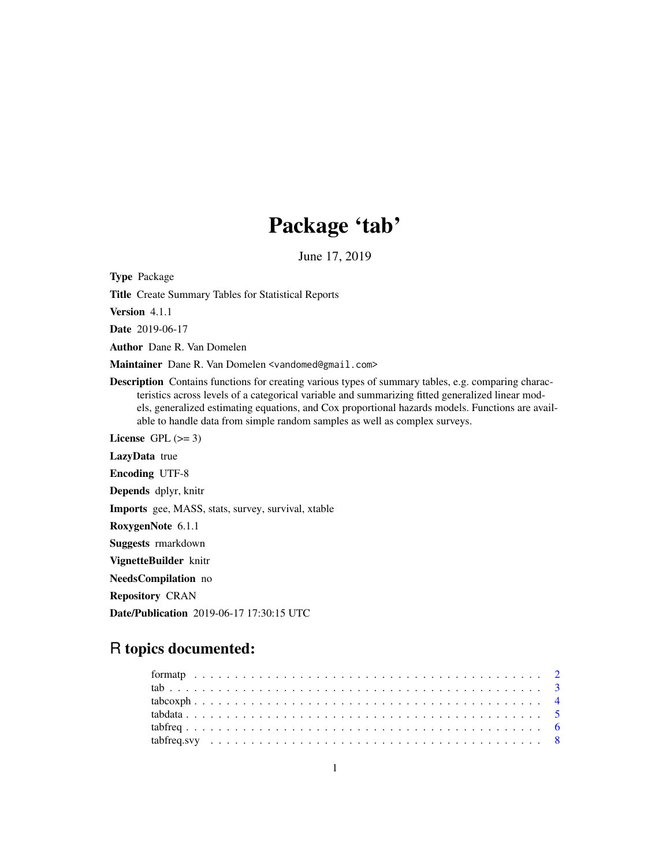# Package 'tab'

June 17, 2019

<span id="page-0-0"></span>Type Package

Title Create Summary Tables for Statistical Reports

Version 4.1.1

Date 2019-06-17

Author Dane R. Van Domelen

Maintainer Dane R. Van Domelen <vandomed@gmail.com>

Description Contains functions for creating various types of summary tables, e.g. comparing characteristics across levels of a categorical variable and summarizing fitted generalized linear models, generalized estimating equations, and Cox proportional hazards models. Functions are available to handle data from simple random samples as well as complex surveys.

License GPL  $(>= 3)$ 

LazyData true

Encoding UTF-8

Depends dplyr, knitr

Imports gee, MASS, stats, survey, survival, xtable

RoxygenNote 6.1.1

Suggests rmarkdown

VignetteBuilder knitr

NeedsCompilation no

Repository CRAN

Date/Publication 2019-06-17 17:30:15 UTC

# R topics documented: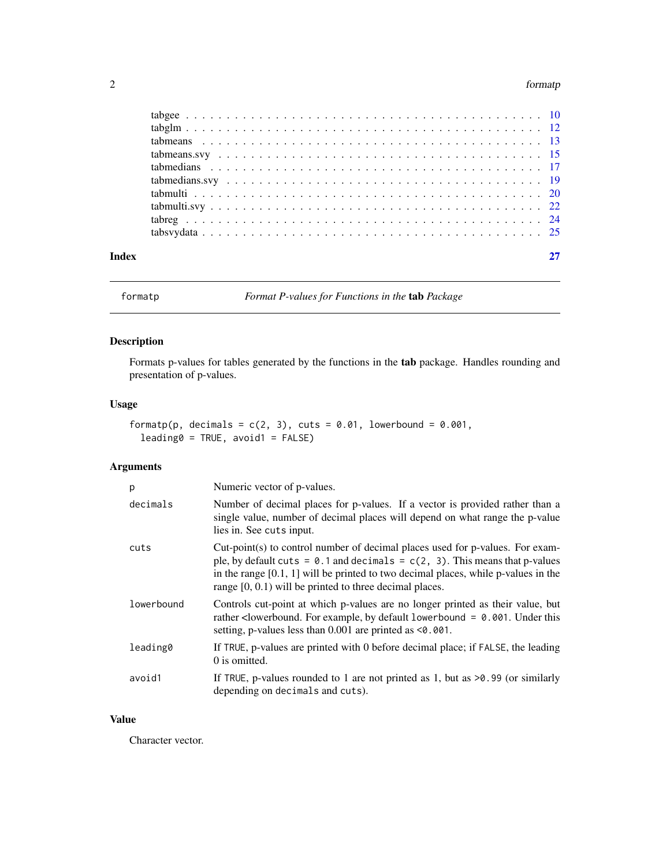#### <span id="page-1-0"></span>2 formatp and the contract of the contract of the contract of the contract of the contract of the contract of the contract of the contract of the contract of the contract of the contract of the contract of the contract of

| Index |  |
|-------|--|
|       |  |
|       |  |
|       |  |
|       |  |
|       |  |
|       |  |
|       |  |
|       |  |
|       |  |
|       |  |

<span id="page-1-1"></span>formatp *Format P-values for Functions in the* tab *Package*

### Description

Formats p-values for tables generated by the functions in the tab package. Handles rounding and presentation of p-values.

# Usage

```
formatp(p, decimals = c(2, 3), cuts = 0.01, lowerbound = 0.001,
 leading0 = TRUE, avoid1 = FALSE)
```
### Arguments

| p          | Numeric vector of p-values.                                                                                                                                                                                                                                                                                            |
|------------|------------------------------------------------------------------------------------------------------------------------------------------------------------------------------------------------------------------------------------------------------------------------------------------------------------------------|
| decimals   | Number of decimal places for p-values. If a vector is provided rather than a<br>single value, number of decimal places will depend on what range the p-value<br>lies in. See cuts input.                                                                                                                               |
| cuts       | Cut-point(s) to control number of decimal places used for p-values. For exam-<br>ple, by default cuts = $0.1$ and decimals = $c(2, 3)$ . This means that p-values<br>in the range $[0.1, 1]$ will be printed to two decimal places, while p-values in the<br>range $[0, 0.1)$ will be printed to three decimal places. |
| lowerbound | Controls cut-point at which p-values are no longer printed as their value, but<br>rather <lowerbound. by="" default="" example,="" for="" lowerbound="&lt;math">0.001. Under this<br/>setting, p-values less than <math>0.001</math> are printed as <math>\leq 0.001</math>.</lowerbound.>                             |
| leading0   | If TRUE, p-values are printed with 0 before decimal place; if FALSE, the leading<br>0 is omitted.                                                                                                                                                                                                                      |
| avoid1     | If TRUE, p-values rounded to 1 are not printed as 1, but as $>0.99$ (or similarly<br>depending on decimals and cuts).                                                                                                                                                                                                  |

#### Value

Character vector.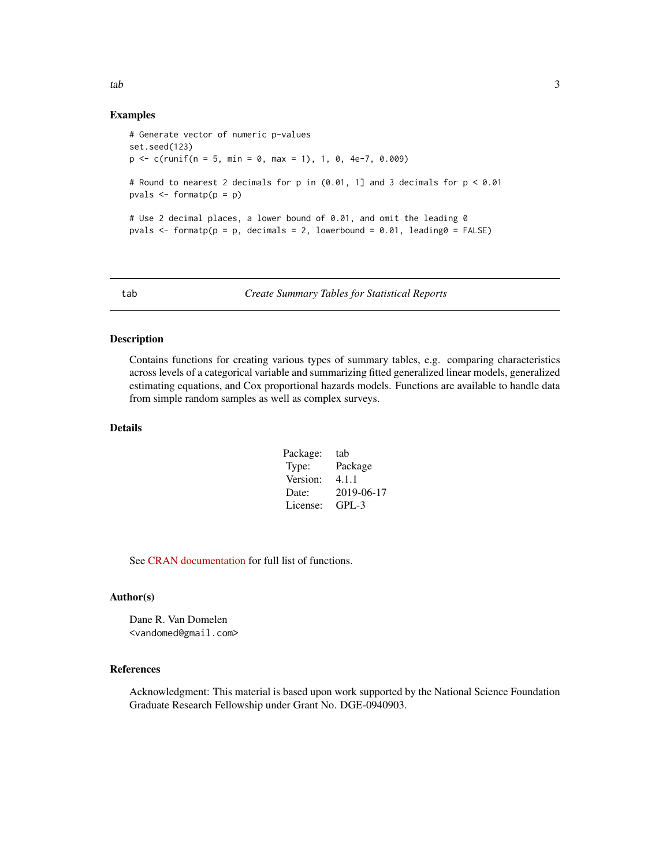<span id="page-2-0"></span>tab 3

#### Examples

```
# Generate vector of numeric p-values
set.seed(123)
p \leq -c(runif(n = 5, min = 0, max = 1), 1, 0, 4e-7, 0.009)
# Round to nearest 2 decimals for p in (0.01, 1] and 3 decimals for p < 0.01
pvals \leq formatp(p = p)
# Use 2 decimal places, a lower bound of 0.01, and omit the leading 0
pvals \le formatp(p = p, decimals = 2, lowerbound = 0.01, leading0 = FALSE)
```
tab *Create Summary Tables for Statistical Reports*

#### Description

Contains functions for creating various types of summary tables, e.g. comparing characteristics across levels of a categorical variable and summarizing fitted generalized linear models, generalized estimating equations, and Cox proportional hazards models. Functions are available to handle data from simple random samples as well as complex surveys.

## Details

| Package: | tab        |
|----------|------------|
| Type:    | Package    |
| Version: | 4.1.1      |
| Date:    | 2019-06-17 |
| License: | $GPI - 3$  |
|          |            |

See [CRAN documentation](https://cran.r-project.org/package=tab) for full list of functions.

#### Author(s)

Dane R. Van Domelen <vandomed@gmail.com>

#### References

Acknowledgment: This material is based upon work supported by the National Science Foundation Graduate Research Fellowship under Grant No. DGE-0940903.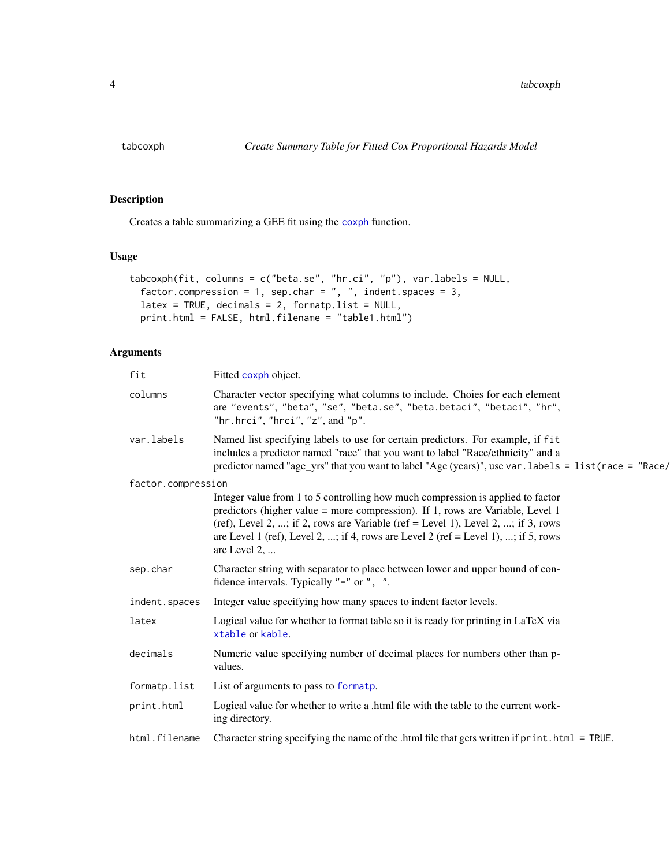<span id="page-3-0"></span>

# Description

Creates a table summarizing a GEE fit using the [coxph](#page-0-0) function.

#### Usage

```
tabcoxph(fit, columns = c("beta.se", "hr.ci", "p"), var.labels = NULL,
 factor.compression = 1, sep.char = ", ", indent.spaces = 3,
 latex = TRUE, decimals = 2, formatp.list = NULL,
 print.html = FALSE, html.filename = "table1.html")
```

| fit                | Fitted coxph object.                                                                                                                                                                                                                                                                                                                                        |
|--------------------|-------------------------------------------------------------------------------------------------------------------------------------------------------------------------------------------------------------------------------------------------------------------------------------------------------------------------------------------------------------|
| columns            | Character vector specifying what columns to include. Choies for each element<br>are "events", "beta", "se", "beta.se", "beta.betaci", "betaci", "hr",<br>"hr.hrci", "hrci", "z", and " $p$ ".                                                                                                                                                               |
| var.labels         | Named list specifying labels to use for certain predictors. For example, if fit<br>includes a predictor named "race" that you want to label "Race/ethnicity" and a<br>predictor named "age_yrs" that you want to label "Age (years)", use var . labels = list (race = "Race/                                                                                |
| factor.compression |                                                                                                                                                                                                                                                                                                                                                             |
|                    | Integer value from 1 to 5 controlling how much compression is applied to factor<br>predictors (higher value = more compression). If 1, rows are Variable, Level 1<br>(ref), Level 2, ; if 2, rows are Variable (ref = Level 1), Level 2, ; if 3, rows<br>are Level 1 (ref), Level 2, ; if 4, rows are Level 2 (ref = Level 1), ; if 5, rows<br>are Level 2, |
| sep.char           | Character string with separator to place between lower and upper bound of con-<br>fidence intervals. Typically "-" or ", ".                                                                                                                                                                                                                                 |
| indent.spaces      | Integer value specifying how many spaces to indent factor levels.                                                                                                                                                                                                                                                                                           |
| latex              | Logical value for whether to format table so it is ready for printing in LaTeX via<br>xtable or kable.                                                                                                                                                                                                                                                      |
| decimals           | Numeric value specifying number of decimal places for numbers other than p-<br>values.                                                                                                                                                                                                                                                                      |
| formatp.list       | List of arguments to pass to formatp.                                                                                                                                                                                                                                                                                                                       |
| print.html         | Logical value for whether to write a .html file with the table to the current work-<br>ing directory.                                                                                                                                                                                                                                                       |
| html.filename      | Character string specifying the name of the .html file that gets written if print.html = TRUE.                                                                                                                                                                                                                                                              |
|                    |                                                                                                                                                                                                                                                                                                                                                             |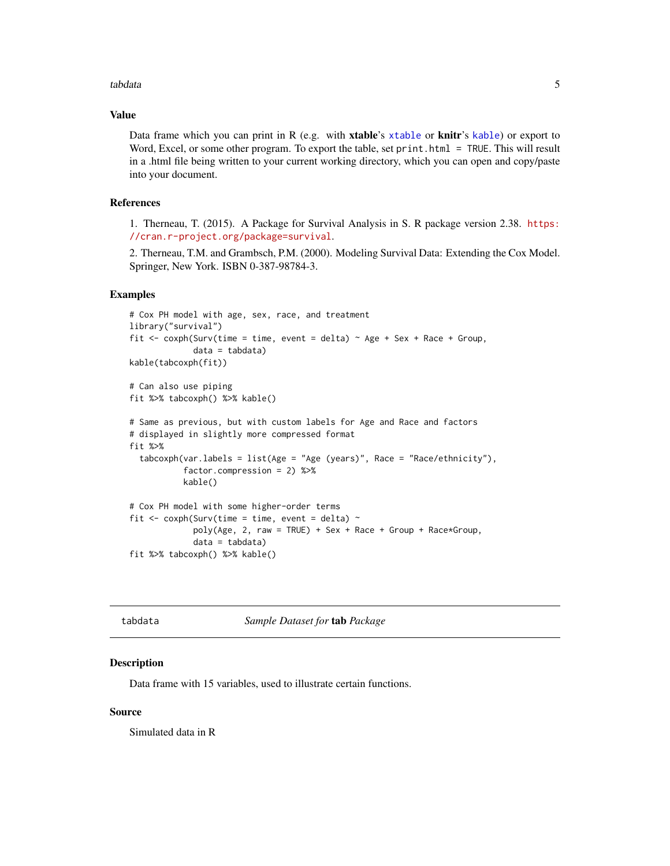#### <span id="page-4-0"></span>tabdata 5 and 5 and 5 and 5 and 5 and 5 and 5 and 5 and 5 and 5 and 5 and 5 and 5 and 5 and 5 and 5 and 5 and 5 and 5 and 5 and 5 and 5 and 5 and 5 and 5 and 5 and 5 and 5 and 5 and 5 and 5 and 5 and 5 and 5 and 5 and 5 an

#### Value

Data frame which you can print in R (e.g. with xtable's [xtable](#page-0-0) or knitr's [kable](#page-0-0)) or export to Word, Excel, or some other program. To export the table, set print.html = TRUE. This will result in a .html file being written to your current working directory, which you can open and copy/paste into your document.

# References

1. Therneau, T. (2015). A Package for Survival Analysis in S. R package version 2.38. [https:](https://cran.r-project.org/package=survival) [//cran.r-project.org/package=survival](https://cran.r-project.org/package=survival).

2. Therneau, T.M. and Grambsch, P.M. (2000). Modeling Survival Data: Extending the Cox Model. Springer, New York. ISBN 0-387-98784-3.

#### Examples

```
# Cox PH model with age, sex, race, and treatment
library("survival")
fit <- coxph(Surv(time = time, event = delta) \sim Age + Sex + Race + Group,
             data = tabdata)
kable(tabcoxph(fit))
# Can also use piping
fit %>% tabcoxph() %>% kable()
# Same as previous, but with custom labels for Age and Race and factors
# displayed in slightly more compressed format
fit %>%
 tabcoxph(var.labels = list(Age = "Age (years)", Race = "Race/ethnicity"),
           factor.compression = 2) %>%
           kable()
# Cox PH model with some higher-order terms
fit \le coxph(Surv(time = time, event = delta) \simpoly(Age, 2, raw = TRUE) + Sex + Race + Group + Race*Group,data = tabdata)
fit %>% tabcoxph() %>% kable()
```

|--|

**Sample Dataset for tab Package** 

#### **Description**

Data frame with 15 variables, used to illustrate certain functions.

#### Source

Simulated data in R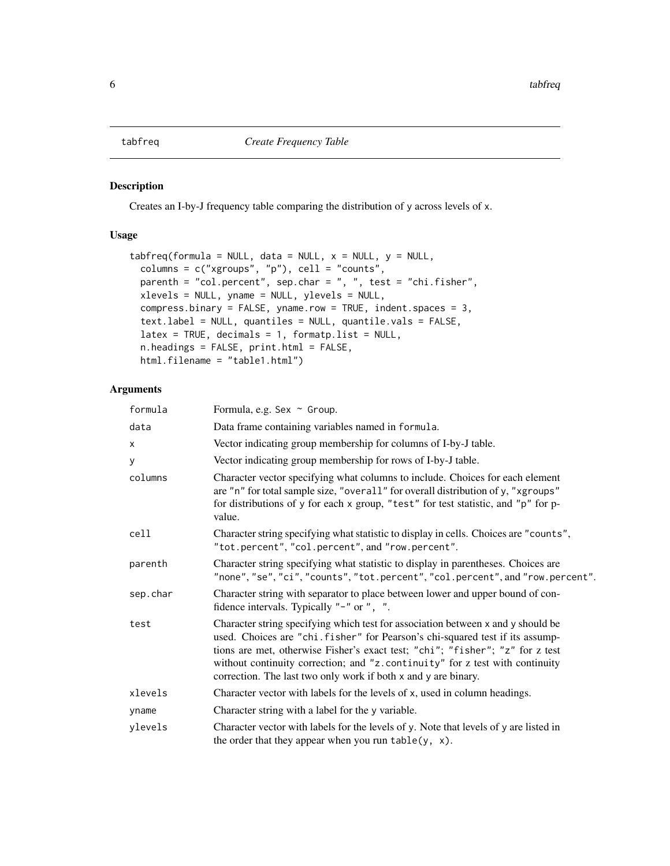<span id="page-5-1"></span><span id="page-5-0"></span>

### Description

Creates an I-by-J frequency table comparing the distribution of y across levels of x.

# Usage

```
tabfreq(formula = NULL, data = NULL, x = NULL, y = NULL,
 columns = c("xgroups", "p"), cell = "counts",parenth = "col.percent", sep.char = ", ", test = "chi.fisher",
 xlevels = NULL, yname = NULL, ylevels = NULL,
 compress.binary = FALSE, yname.row = TRUE, indent.spaces = 3,
  text.label = NULL, quantiles = NULL, quantile.vals = FALSE,
 latex = TRUE, decimals = 1, formatp.list = NULL,
 n.headings = FALSE, print.html = FALSE,
 html.filename = "table1.html")
```

| formula  | Formula, e.g. Sex ~ Group.                                                                                                                                                                                                                                                                                                                                                                           |  |
|----------|------------------------------------------------------------------------------------------------------------------------------------------------------------------------------------------------------------------------------------------------------------------------------------------------------------------------------------------------------------------------------------------------------|--|
| data     | Data frame containing variables named in formula.                                                                                                                                                                                                                                                                                                                                                    |  |
| x        | Vector indicating group membership for columns of I-by-J table.                                                                                                                                                                                                                                                                                                                                      |  |
| У        | Vector indicating group membership for rows of I-by-J table.                                                                                                                                                                                                                                                                                                                                         |  |
| columns  | Character vector specifying what columns to include. Choices for each element<br>are "n" for total sample size, "overall" for overall distribution of y, "xgroups"<br>for distributions of y for each x group, "test" for test statistic, and "p" for p-<br>value.                                                                                                                                   |  |
| cell     | Character string specifying what statistic to display in cells. Choices are "counts",<br>"tot.percent", "col.percent", and "row.percent".                                                                                                                                                                                                                                                            |  |
| parenth  | Character string specifying what statistic to display in parentheses. Choices are<br>"none", "se", "ci", "counts", "tot.percent", "col.percent", and "row.percent".                                                                                                                                                                                                                                  |  |
| sep.char | Character string with separator to place between lower and upper bound of con-<br>fidence intervals. Typically "-" or ", ".                                                                                                                                                                                                                                                                          |  |
| test     | Character string specifying which test for association between x and y should be<br>used. Choices are "chi. fisher" for Pearson's chi-squared test if its assump-<br>tions are met, otherwise Fisher's exact test; "chi"; "fisher"; "z" for z test<br>without continuity correction; and "z.continuity" for z test with continuity<br>correction. The last two only work if both x and y are binary. |  |
| xlevels  | Character vector with labels for the levels of x, used in column headings.                                                                                                                                                                                                                                                                                                                           |  |
| yname    | Character string with a label for the y variable.                                                                                                                                                                                                                                                                                                                                                    |  |
| ylevels  | Character vector with labels for the levels of y. Note that levels of y are listed in<br>the order that they appear when you run $table(y, x)$ .                                                                                                                                                                                                                                                     |  |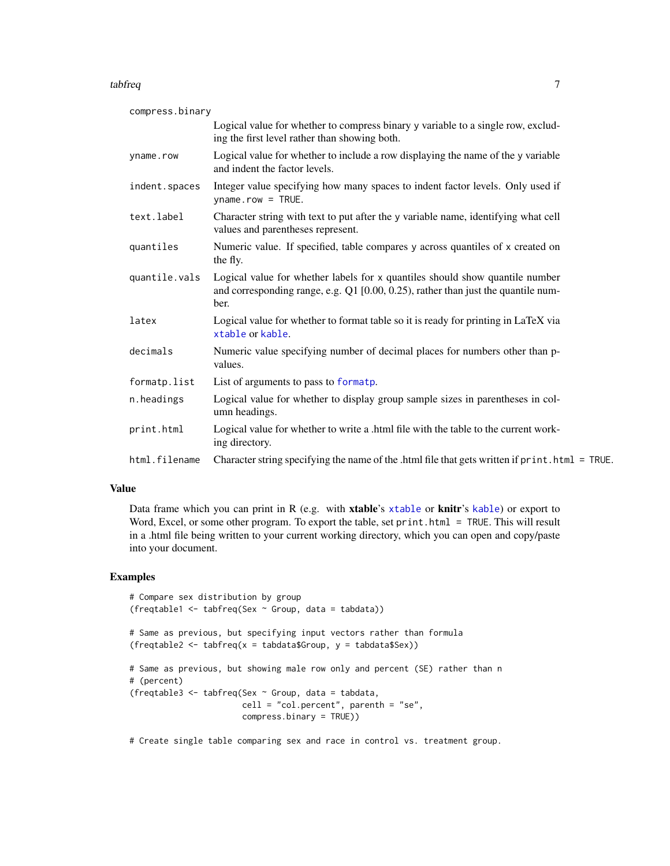#### <span id="page-6-0"></span>tabfreq 7 and 2008 and 2008 and 2008 and 2008 and 2008 and 2008 and 2008 and 2008 and 2008 and 2008 and 2008 and 2008 and 2008 and 2008 and 2008 and 2008 and 2008 and 2008 and 2008 and 2008 and 2008 and 2008 and 2008 and 2

| compress.binary |                                                                                                                                                                           |
|-----------------|---------------------------------------------------------------------------------------------------------------------------------------------------------------------------|
|                 | Logical value for whether to compress binary y variable to a single row, exclud-<br>ing the first level rather than showing both.                                         |
| yname.row       | Logical value for whether to include a row displaying the name of the y variable<br>and indent the factor levels.                                                         |
| indent.spaces   | Integer value specifying how many spaces to indent factor levels. Only used if<br>$ynamerow = TRUE.$                                                                      |
| text.label      | Character string with text to put after the y variable name, identifying what cell<br>values and parentheses represent.                                                   |
| quantiles       | Numeric value. If specified, table compares y across quantiles of x created on<br>the fly.                                                                                |
| quantile.vals   | Logical value for whether labels for x quantiles should show quantile number<br>and corresponding range, e.g. Q1 [0.00, 0.25), rather than just the quantile num-<br>ber. |
| latex           | Logical value for whether to format table so it is ready for printing in LaTeX via<br>xtable or kable.                                                                    |
| decimals        | Numeric value specifying number of decimal places for numbers other than p-<br>values.                                                                                    |
| formatp.list    | List of arguments to pass to formatp.                                                                                                                                     |
| n.headings      | Logical value for whether to display group sample sizes in parentheses in col-<br>umn headings.                                                                           |
| print.html      | Logical value for whether to write a .html file with the table to the current work-<br>ing directory.                                                                     |
| html.filename   | Character string specifying the name of the .html file that gets written if print .html = TRUE.                                                                           |

#### Value

Data frame which you can print in R (e.g. with [xtable](#page-0-0)'s xtable or knitr's [kable](#page-0-0)) or export to Word, Excel, or some other program. To export the table, set print.html = TRUE. This will result in a .html file being written to your current working directory, which you can open and copy/paste into your document.

### Examples

```
# Compare sex distribution by group
(freqtable1 <- tabfreq(Sex ~ Group, data = tabdata))
# Same as previous, but specifying input vectors rather than formula
(freqtable2 <- tabfreq(x = tabdata$Group, y = tabdata$Sex))
# Same as previous, but showing male row only and percent (SE) rather than n
# (percent)
(freqtable3 <- tabfreq(Sex ~ Group, data = tabdata,
                      cell = "col.percent", parenth = "se",
                      compress.binary = TRUE))
```
# Create single table comparing sex and race in control vs. treatment group.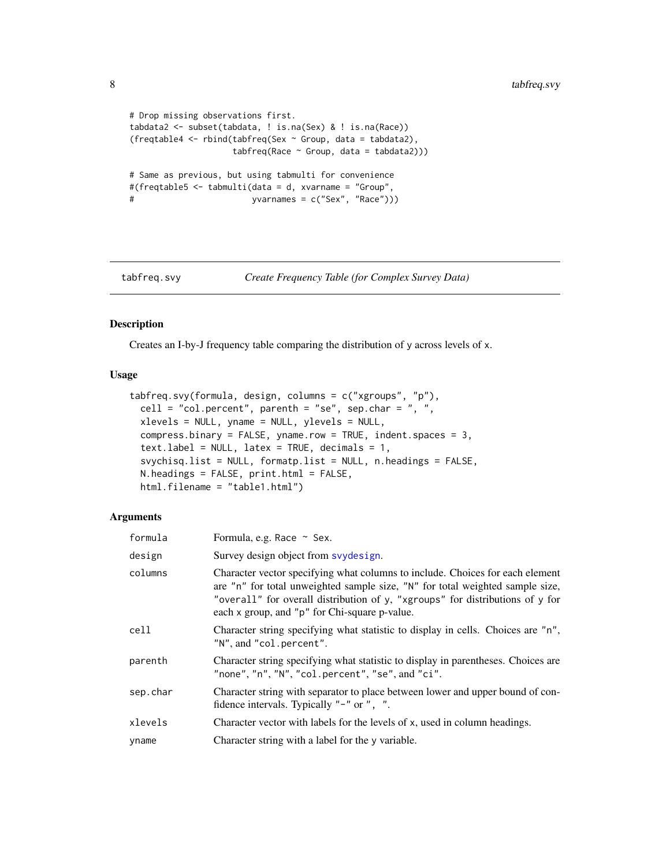```
# Drop missing observations first.
tabdata2 <- subset(tabdata, ! is.na(Sex) & ! is.na(Race))
(freqtable4 <- rbind(tabfreq(Sex ~ Group, data = tabdata2),
                   tabfreq(Race ~ Group, data = tabdata2)))# Same as previous, but using tabmulti for convenience
#(freqtable5 <- tabmulti(data = d, xvarname = "Group",
# yvarnames = c("Sex", "Race")))
```
<span id="page-7-1"></span>

tabfreq.svy *Create Frequency Table (for Complex Survey Data)*

### Description

Creates an I-by-J frequency table comparing the distribution of y across levels of x.

#### Usage

```
tabfreq.svy(formula, design, columns = c("xgroups", "p"),
 cell = "col.percent", parenth = "se", sep.char = ", ",
 xlevels = NULL, yname = NULL, ylevels = NULL,
 compress.binary = FALSE, yname.row = TRUE, indent.spaces = 3,
  textu = NULL, latex = TRUE, decimals = 1,
  svychisq.list = NULL, formatp.list = NULL, n.headings = FALSE,
 N.headings = FALSE, print.html = FALSE,
 html.filename = "table1.html")
```

| formula  | Formula, e.g. Race $\sim$ Sex.                                                                                                                                                                                                                                                                   |
|----------|--------------------------------------------------------------------------------------------------------------------------------------------------------------------------------------------------------------------------------------------------------------------------------------------------|
| design   | Survey design object from syydesign.                                                                                                                                                                                                                                                             |
| columns  | Character vector specifying what columns to include. Choices for each element<br>are "n" for total unweighted sample size, "N" for total weighted sample size,<br>"overall" for overall distribution of y, "xgroups" for distributions of y for<br>each x group, and "p" for Chi-square p-value. |
| cell     | Character string specifying what statistic to display in cells. Choices are "n",<br>"N", and "col.percent".                                                                                                                                                                                      |
| parenth  | Character string specifying what statistic to display in parentheses. Choices are<br>"none", "n", "N", "col.percent", "se", and "ci".                                                                                                                                                            |
| sep.char | Character string with separator to place between lower and upper bound of con-<br>fidence intervals. Typically "-" or ", ".                                                                                                                                                                      |
| xlevels  | Character vector with labels for the levels of x, used in column headings.                                                                                                                                                                                                                       |
| yname    | Character string with a label for the y variable.                                                                                                                                                                                                                                                |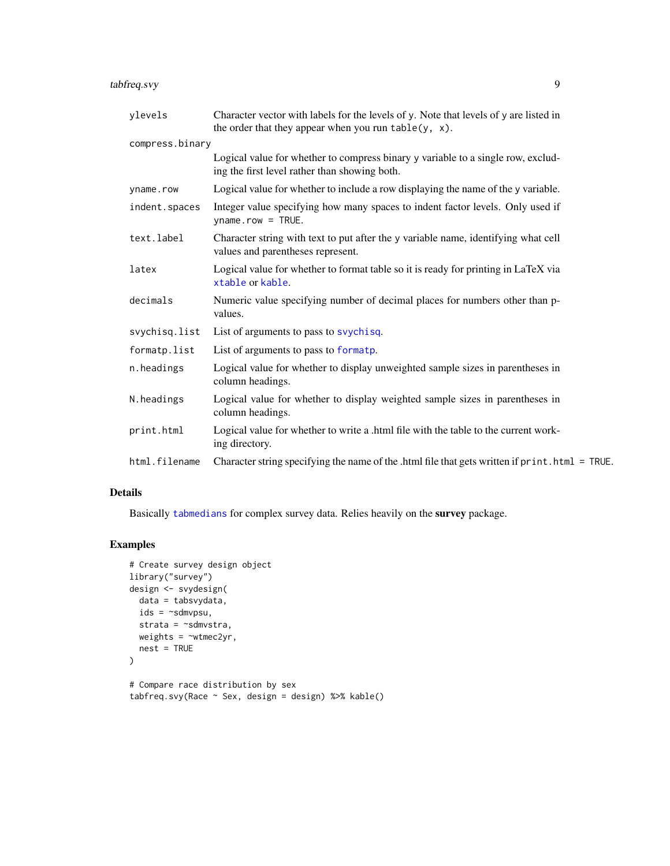# <span id="page-8-0"></span>tabfreq.svy 9

| ylevels         | Character vector with labels for the levels of y. Note that levels of y are listed in<br>the order that they appear when you run $table(y, x)$ . |  |
|-----------------|--------------------------------------------------------------------------------------------------------------------------------------------------|--|
| compress.binary |                                                                                                                                                  |  |
|                 | Logical value for whether to compress binary y variable to a single row, exclud-<br>ing the first level rather than showing both.                |  |
| yname.row       | Logical value for whether to include a row displaying the name of the y variable.                                                                |  |
| indent.spaces   | Integer value specifying how many spaces to indent factor levels. Only used if<br>$ynamerow = TRUE.$                                             |  |
| text.label      | Character string with text to put after the y variable name, identifying what cell<br>values and parentheses represent.                          |  |
| latex           | Logical value for whether to format table so it is ready for printing in LaTeX via<br>xtable or kable.                                           |  |
| decimals        | Numeric value specifying number of decimal places for numbers other than p-<br>values.                                                           |  |
| svychisq.list   | List of arguments to pass to svychisq.                                                                                                           |  |
| formatp.list    | List of arguments to pass to formatp.                                                                                                            |  |
| n.headings      | Logical value for whether to display unweighted sample sizes in parentheses in<br>column headings.                                               |  |
| N.headings      | Logical value for whether to display weighted sample sizes in parentheses in<br>column headings.                                                 |  |
| print.html      | Logical value for whether to write a .html file with the table to the current work-<br>ing directory.                                            |  |
| html.filename   | Character string specifying the name of the .html file that gets written if print .html = TRUE.                                                  |  |
|                 |                                                                                                                                                  |  |

# Details

Basically [tabmedians](#page-16-1) for complex survey data. Relies heavily on the survey package.

# Examples

```
# Create survey design object
library("survey")
design <- svydesign(
 data = tabsvydata,
 ids = ~sdmvpsu,
 strata = ~sdmvstra,
 weights = ~wtmec2yr,
  nest = TRUE
\mathcal{L}# Compare race distribution by sex
tabfreq.svy(Race ~ Sex, design = design) %>% kable()
```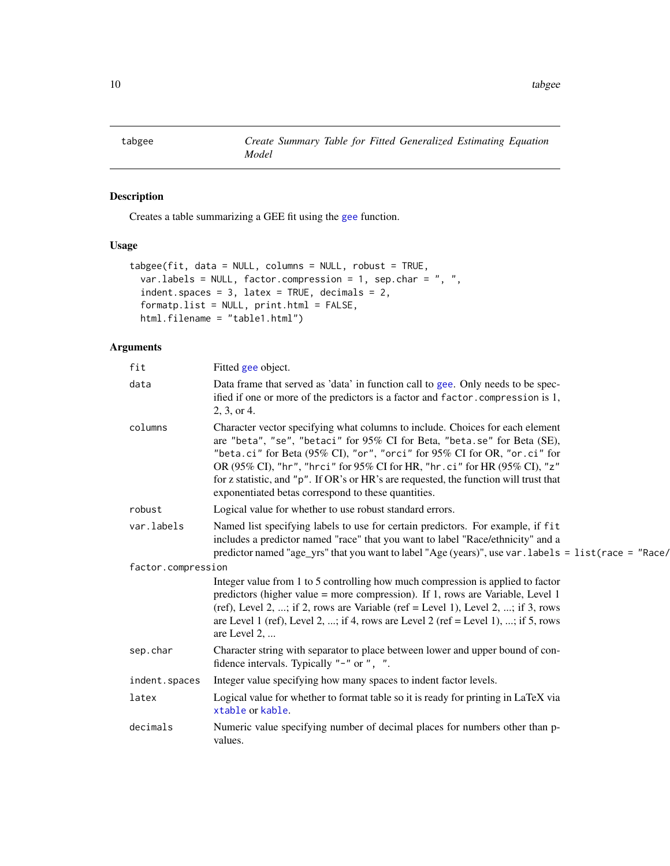<span id="page-9-0"></span>

### Description

Creates a table summarizing a GEE fit using the [gee](#page-0-0) function.

### Usage

```
tabgee(fit, data = NULL, columns = NULL, robust = TRUE,
  var.labels = NULL, factor.compression = 1, sep.char = ", ",
  indent.\,spaces = 3, \,latex = TRUE, \, decimals = 2,formatp.list = NULL, print.html = FALSE,
  html.filename = "table1.html")
```

| fit                | Fitted gee object.                                                                                                                                                                                                                                                                                                                                                                                                                                                 |
|--------------------|--------------------------------------------------------------------------------------------------------------------------------------------------------------------------------------------------------------------------------------------------------------------------------------------------------------------------------------------------------------------------------------------------------------------------------------------------------------------|
| data               | Data frame that served as 'data' in function call to gee. Only needs to be spec-<br>ified if one or more of the predictors is a factor and factor. compression is 1,<br>2, 3, or 4.                                                                                                                                                                                                                                                                                |
| columns            | Character vector specifying what columns to include. Choices for each element<br>are "beta", "se", "betaci" for 95% CI for Beta, "beta.se" for Beta (SE),<br>"beta.ci" for Beta (95% CI), "or", "orci" for 95% CI for OR, "or.ci" for<br>OR (95% CI), "hr", "hrci" for 95% CI for HR, "hr.ci" for HR (95% CI), "z"<br>for z statistic, and "p". If OR's or HR's are requested, the function will trust that<br>exponentiated betas correspond to these quantities. |
| robust             | Logical value for whether to use robust standard errors.                                                                                                                                                                                                                                                                                                                                                                                                           |
| var.labels         | Named list specifying labels to use for certain predictors. For example, if fit<br>includes a predictor named "race" that you want to label "Race/ethnicity" and a<br>predictor named "age_yrs" that you want to label "Age (years)", use var . labels = list (race = "Race/                                                                                                                                                                                       |
| factor.compression |                                                                                                                                                                                                                                                                                                                                                                                                                                                                    |
|                    | Integer value from 1 to 5 controlling how much compression is applied to factor<br>predictors (higher value = more compression). If 1, rows are Variable, Level 1<br>(ref), Level 2, ; if 2, rows are Variable (ref = Level 1), Level 2, ; if 3, rows<br>are Level 1 (ref), Level 2, ; if 4, rows are Level 2 (ref = Level 1), ; if 5, rows<br>are Level 2,                                                                                                        |
| sep.char           | Character string with separator to place between lower and upper bound of con-<br>fidence intervals. Typically "-" or ", ".                                                                                                                                                                                                                                                                                                                                        |
| indent.spaces      | Integer value specifying how many spaces to indent factor levels.                                                                                                                                                                                                                                                                                                                                                                                                  |
| latex              | Logical value for whether to format table so it is ready for printing in LaTeX via<br>xtable or kable.                                                                                                                                                                                                                                                                                                                                                             |
| decimals           | Numeric value specifying number of decimal places for numbers other than p-<br>values.                                                                                                                                                                                                                                                                                                                                                                             |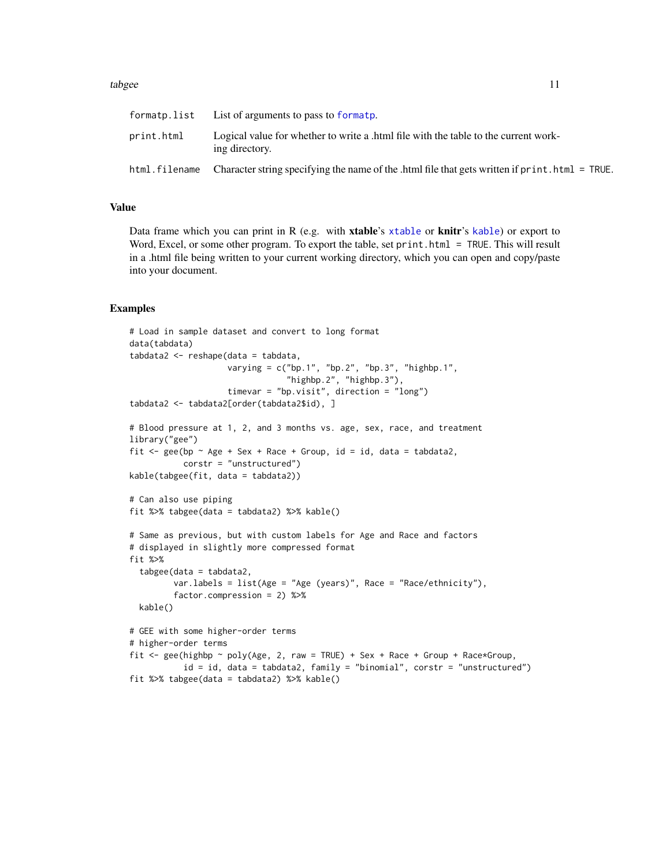#### <span id="page-10-0"></span>tabgee the contract of the contract of the contract of the contract of the contract of the contract of the contract of the contract of the contract of the contract of the contract of the contract of the contract of the con

| formatp.list | List of arguments to pass to formatp.                                                                        |
|--------------|--------------------------------------------------------------------------------------------------------------|
| print.html   | Logical value for whether to write a .html file with the table to the current work-<br>ing directory.        |
|              | html.filename Character string specifying the name of the .html file that gets written if print.html = TRUE. |

#### Value

Data frame which you can print in R (e.g. with [xtable](#page-0-0)'s xtable or knitr's [kable](#page-0-0)) or export to Word, Excel, or some other program. To export the table, set print.html = TRUE. This will result in a .html file being written to your current working directory, which you can open and copy/paste into your document.

#### Examples

```
# Load in sample dataset and convert to long format
data(tabdata)
tabdata2 <- reshape(data = tabdata,
                    varying = c("bp.1", "bp.2", "bp.3", "highbp.1","highbp.2", "highbp.3"),
                    timevar = "bp.visit", direction = "long")
tabdata2 <- tabdata2[order(tabdata2$id), ]
# Blood pressure at 1, 2, and 3 months vs. age, sex, race, and treatment
library("gee")
fit \leq gee(bp \sim Age + Sex + Race + Group, id = id, data = tabdata2,
           corstr = "unstructured")
kable(tabgee(fit, data = tabdata2))
# Can also use piping
fit %>% tabgee(data = tabdata2) %>% kable()
# Same as previous, but with custom labels for Age and Race and factors
# displayed in slightly more compressed format
fit %>%
  tabgee(data = tabdata2,
         var.labels = list(Age = "Age (years)", Race = "Race/ethnicity"),
         factor.compression = 2) %>%
 kable()
# GEE with some higher-order terms
# higher-order terms
fit \leq gee(highbp \sim poly(Age, 2, raw = TRUE) + Sex + Race + Group + Race*Group,
           id = id, data = tabdata2, family = "binomial", corstr = "unstructured")
fit %>% tabgee(data = tabdata2) %>% kable()
```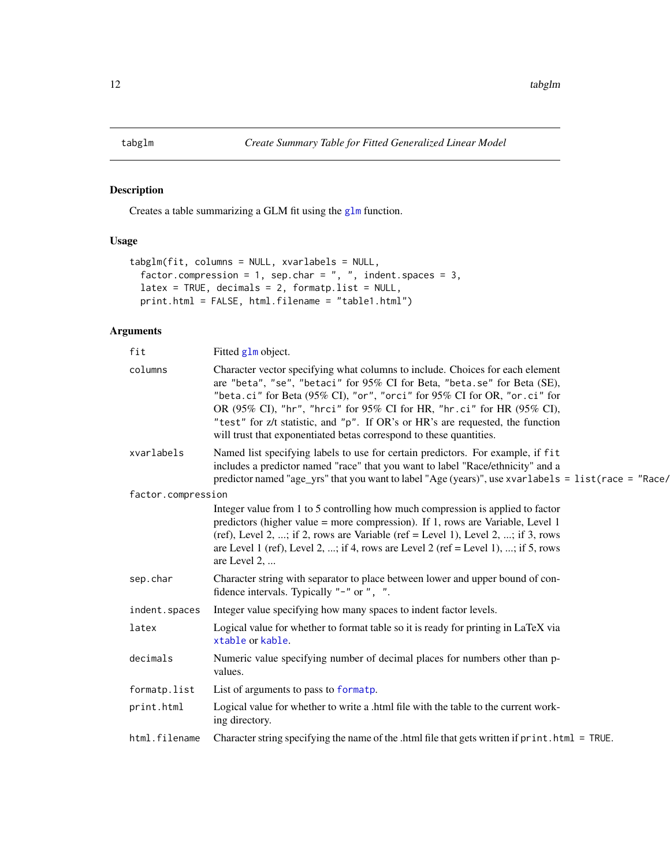<span id="page-11-0"></span>

### Description

Creates a table summarizing a GLM fit using the [glm](#page-0-0) function.

# Usage

```
tabglm(fit, columns = NULL, xvarlabels = NULL,
  factor.compression = 1, sep.char = ", ", indent.spaces = 3,
  latex = TRUE, decimals = 2, formatp.list = NULL,
 print.html = FALSE, html.filename = "table1.html")
```

| fit                | Fitted glm object.                                                                                                                                                                                                                                                                                                                                                                                                                                                      |
|--------------------|-------------------------------------------------------------------------------------------------------------------------------------------------------------------------------------------------------------------------------------------------------------------------------------------------------------------------------------------------------------------------------------------------------------------------------------------------------------------------|
| columns            | Character vector specifying what columns to include. Choices for each element<br>are "beta", "se", "betaci" for 95% CI for Beta, "beta.se" for Beta (SE),<br>"beta.ci" for Beta (95% CI), "or", "orci" for 95% CI for OR, "or.ci" for<br>OR (95% CI), "hr", "hrci" for 95% CI for HR, "hr.ci" for HR (95% CI),<br>"test" for z/t statistic, and "p". If OR's or HR's are requested, the function<br>will trust that exponentiated betas correspond to these quantities. |
| xvarlabels         | Named list specifying labels to use for certain predictors. For example, if fit<br>includes a predictor named "race" that you want to label "Race/ethnicity" and a<br>predictor named "age_yrs" that you want to label "Age (years)", use xvarlabels = list (race = "Race/                                                                                                                                                                                              |
| factor.compression |                                                                                                                                                                                                                                                                                                                                                                                                                                                                         |
|                    | Integer value from 1 to 5 controlling how much compression is applied to factor<br>predictors (higher value = more compression). If 1, rows are Variable, Level 1<br>(ref), Level 2, ; if 2, rows are Variable (ref = Level 1), Level 2, ; if 3, rows<br>are Level 1 (ref), Level 2, ; if 4, rows are Level 2 (ref = Level 1), ; if 5, rows<br>are Level 2,                                                                                                             |
| sep.char           | Character string with separator to place between lower and upper bound of con-<br>fidence intervals. Typically "-" or ", ".                                                                                                                                                                                                                                                                                                                                             |
| indent.spaces      | Integer value specifying how many spaces to indent factor levels.                                                                                                                                                                                                                                                                                                                                                                                                       |
| latex              | Logical value for whether to format table so it is ready for printing in LaTeX via<br>xtable or kable.                                                                                                                                                                                                                                                                                                                                                                  |
| decimals           | Numeric value specifying number of decimal places for numbers other than p-<br>values.                                                                                                                                                                                                                                                                                                                                                                                  |
| formatp.list       | List of arguments to pass to formatp.                                                                                                                                                                                                                                                                                                                                                                                                                                   |
| print.html         | Logical value for whether to write a .html file with the table to the current work-<br>ing directory.                                                                                                                                                                                                                                                                                                                                                                   |
| html.filename      | Character string specifying the name of the .html file that gets written if print.html = TRUE.                                                                                                                                                                                                                                                                                                                                                                          |
|                    |                                                                                                                                                                                                                                                                                                                                                                                                                                                                         |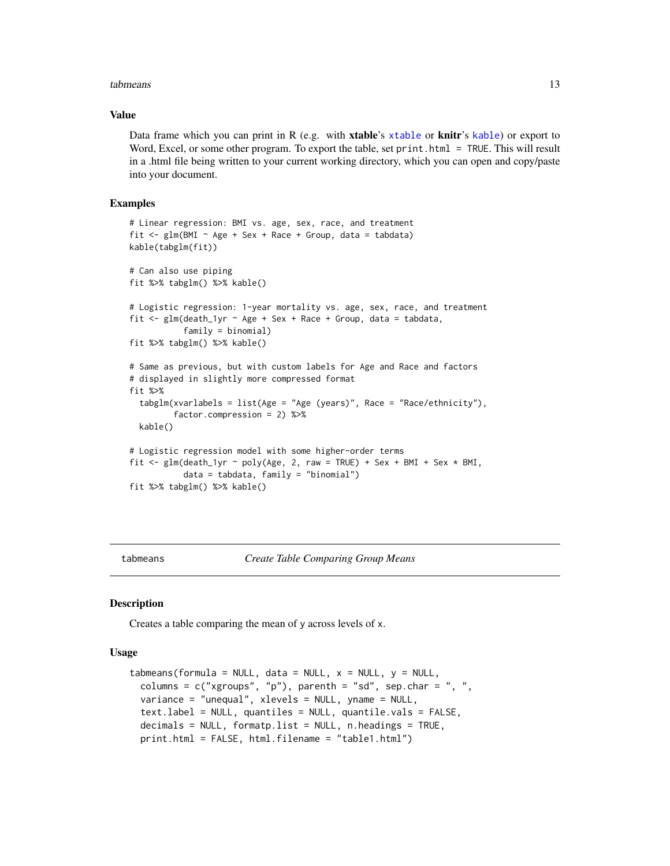#### <span id="page-12-0"></span>tabmeans and the state of the state of the state of the state of the state of the state of the state of the state of the state of the state of the state of the state of the state of the state of the state of the state of t

#### Value

Data frame which you can print in R (e.g. with **[xtable](#page-0-0)**'s xtable or **knitr**'s [kable](#page-0-0)) or export to Word, Excel, or some other program. To export the table, set print.html = TRUE. This will result in a .html file being written to your current working directory, which you can open and copy/paste into your document.

#### Examples

```
# Linear regression: BMI vs. age, sex, race, and treatment
fit \leq glm(BMI \sim Age + Sex + Race + Group, data = tabdata)
kable(tabglm(fit))
# Can also use piping
fit %>% tabglm() %>% kable()
# Logistic regression: 1-year mortality vs. age, sex, race, and treatment
fit \leq glm(death_1yr \sim Age + Sex + Race + Group, data = tabdata,
           family = binomial)
fit %>% tabglm() %>% kable()
# Same as previous, but with custom labels for Age and Race and factors
# displayed in slightly more compressed format
fit %>%
 tabglm(xvarlabels = list(Age = "Age (years)", Race = "Race/ethnicity"),
         factor.compression = 2) %>%
 kable()
# Logistic regression model with some higher-order terms
fit \leq glm(death_1yr \sim poly(Age, 2, raw = TRUE) + Sex + BMI + Sex * BMI,
           data = tabdata, family = "binomial")
fit %>% tabglm() %>% kable()
```
<span id="page-12-1"></span>

tabmeans *Create Table Comparing Group Means*

#### **Description**

Creates a table comparing the mean of y across levels of x.

#### Usage

```
tabmeans(formula = NULL, data = NULL, x = NULL, y = NULL,
 columns = c("xgroups", "p"), parenth = "sd", sep.char = ", ",
 variance = "unequal", xlevels = NULL, yname = NULL,
 text.label = NULL, quantiles = NULL, quantile.vals = FALSE,
 decimals = NULL, formatp.list = NULL, n.headings = TRUE,
 print.html = FALSE, html.filename = "table1.html")
```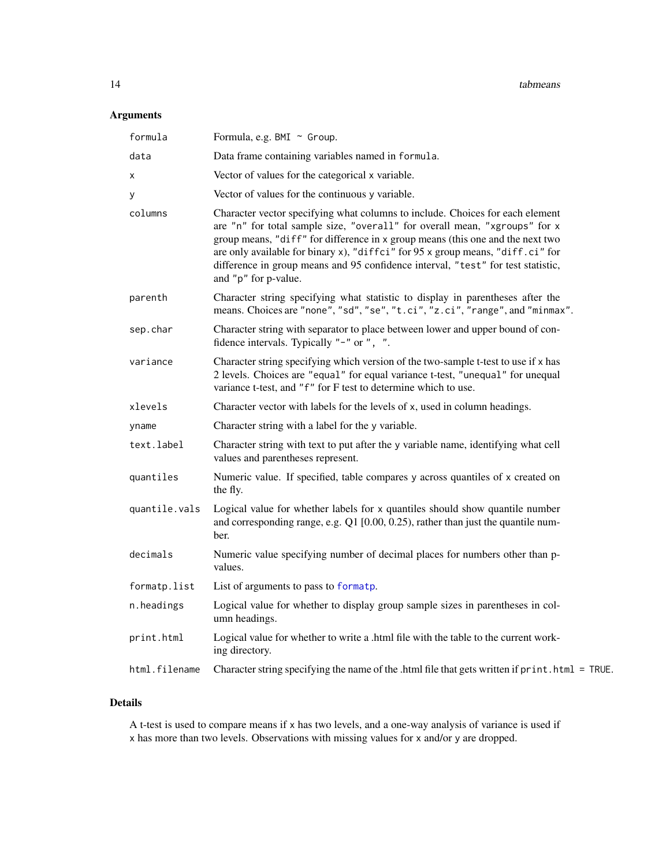# <span id="page-13-0"></span>Arguments

| formula       | Formula, e.g. BMI ~ Group.                                                                                                                                                                                                                                                                                                                                                                                                                  |
|---------------|---------------------------------------------------------------------------------------------------------------------------------------------------------------------------------------------------------------------------------------------------------------------------------------------------------------------------------------------------------------------------------------------------------------------------------------------|
| data          | Data frame containing variables named in formula.                                                                                                                                                                                                                                                                                                                                                                                           |
| х             | Vector of values for the categorical x variable.                                                                                                                                                                                                                                                                                                                                                                                            |
| у             | Vector of values for the continuous y variable.                                                                                                                                                                                                                                                                                                                                                                                             |
| columns       | Character vector specifying what columns to include. Choices for each element<br>are "n" for total sample size, "overall" for overall mean, "xgroups" for x<br>group means, "diff" for difference in x group means (this one and the next two<br>are only available for binary x), "diffci" for 95 x group means, "diff.ci" for<br>difference in group means and 95 confidence interval, "test" for test statistic,<br>and "p" for p-value. |
| parenth       | Character string specifying what statistic to display in parentheses after the<br>means. Choices are "none", "sd", "se", "t.ci", "z.ci", "range", and "minmax".                                                                                                                                                                                                                                                                             |
| sep.char      | Character string with separator to place between lower and upper bound of con-<br>fidence intervals. Typically "-" or ", ".                                                                                                                                                                                                                                                                                                                 |
| variance      | Character string specifying which version of the two-sample t-test to use if x has<br>2 levels. Choices are "equal" for equal variance t-test, "unequal" for unequal<br>variance t-test, and "f" for F test to determine which to use.                                                                                                                                                                                                      |
| xlevels       | Character vector with labels for the levels of x, used in column headings.                                                                                                                                                                                                                                                                                                                                                                  |
| yname         | Character string with a label for the y variable.                                                                                                                                                                                                                                                                                                                                                                                           |
| text.label    | Character string with text to put after the y variable name, identifying what cell<br>values and parentheses represent.                                                                                                                                                                                                                                                                                                                     |
| quantiles     | Numeric value. If specified, table compares y across quantiles of x created on<br>the fly.                                                                                                                                                                                                                                                                                                                                                  |
| quantile.vals | Logical value for whether labels for x quantiles should show quantile number<br>and corresponding range, e.g. Q1 [0.00, 0.25), rather than just the quantile num-<br>ber.                                                                                                                                                                                                                                                                   |
| decimals      | Numeric value specifying number of decimal places for numbers other than p-<br>values.                                                                                                                                                                                                                                                                                                                                                      |
| formatp.list  | List of arguments to pass to formatp.                                                                                                                                                                                                                                                                                                                                                                                                       |
| n.headings    | Logical value for whether to display group sample sizes in parentheses in col-<br>umn headings.                                                                                                                                                                                                                                                                                                                                             |
| print.html    | Logical value for whether to write a .html file with the table to the current work-<br>ing directory.                                                                                                                                                                                                                                                                                                                                       |
| html.filename | Character string specifying the name of the .html file that gets written if print .html = TRUE.                                                                                                                                                                                                                                                                                                                                             |

# Details

A t-test is used to compare means if x has two levels, and a one-way analysis of variance is used if x has more than two levels. Observations with missing values for x and/or y are dropped.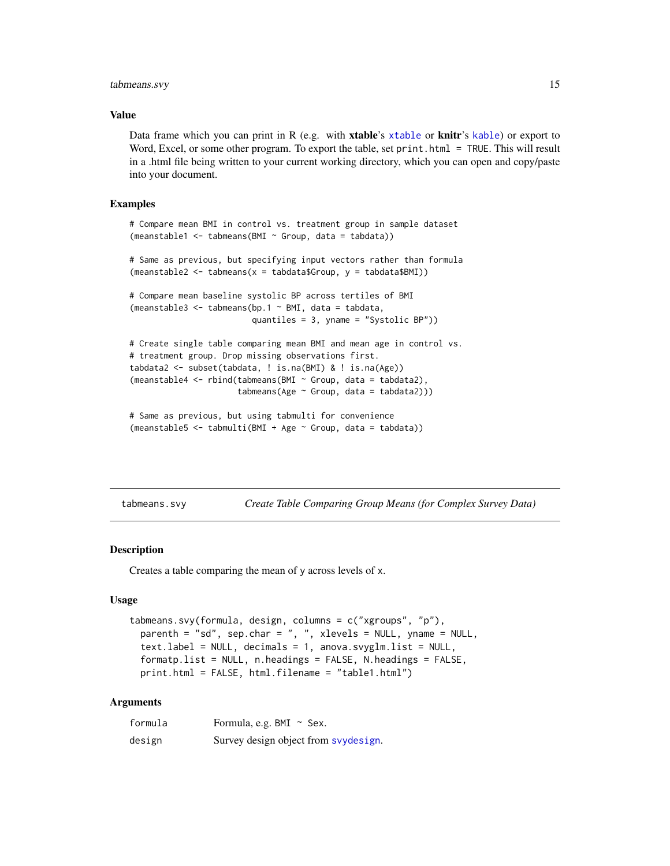#### <span id="page-14-0"></span>tabmeans.svy 15

#### Value

Data frame which you can print in R (e.g. with **[xtable](#page-0-0)**'s xtable or **knitr**'s [kable](#page-0-0)) or export to Word, Excel, or some other program. To export the table, set print.html = TRUE. This will result in a .html file being written to your current working directory, which you can open and copy/paste into your document.

#### Examples

```
# Compare mean BMI in control vs. treatment group in sample dataset
(meanstable1 <- tabmeans(BMI ~ Group, data = tabdata))
# Same as previous, but specifying input vectors rather than formula
(meanstable2 <- tabmeans(x = tabdata$Group, y = tabdata$BMI))
# Compare mean baseline systolic BP across tertiles of BMI
(meanstable3 <- tabmeans(bp.1 \sim BMI, data = tabdata,
                         quantiles = 3, yname = "Systolic BP"))
# Create single table comparing mean BMI and mean age in control vs.
# treatment group. Drop missing observations first.
tabdata2 <- subset(tabdata, ! is.na(BMI) & ! is.na(Age))
(meanstable4 <- rbind(tabmeans(BMI ~ Group, data = tabdata2),
                      tabmeans(Age ~ Group, data = tabdata2)))
# Same as previous, but using tabmulti for convenience
```

```
(meanstable5 <- tabmulti(BMI + Age ~ Group, data = tabdata))
```
<span id="page-14-1"></span>tabmeans.svy *Create Table Comparing Group Means (for Complex Survey Data)*

#### **Description**

Creates a table comparing the mean of y across levels of x.

#### Usage

```
tabmeans.svy(formula, design, columns = c("xgroups", "p"),
 parenth = "sd", sep.char = ", ", xlevels = NULL, yname = NULL,
 text.label = NULL, decimals = 1, anova.svyglm.list = NULL,
 formatp.list = NULL, n.headings = FALSE, N.headings = FALSE,
 print.html = FALSE, html.filename = "table1.html")
```

| formula | Formula, e.g. BMI $\sim$ Sex.        |
|---------|--------------------------------------|
| design  | Survey design object from svydesign. |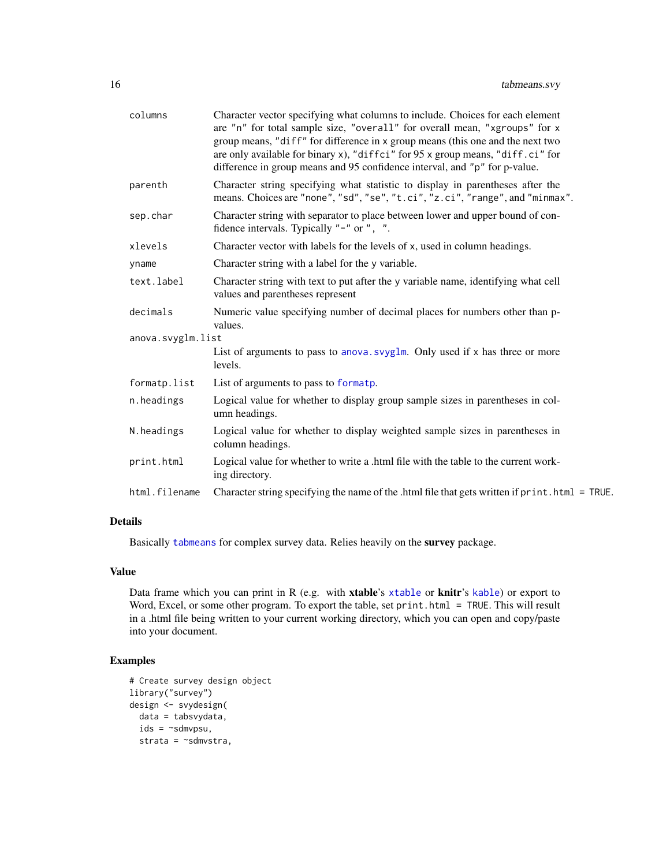<span id="page-15-0"></span>

| columns           | Character vector specifying what columns to include. Choices for each element<br>are "n" for total sample size, "overall" for overall mean, "xgroups" for x<br>group means, "diff" for difference in x group means (this one and the next two<br>are only available for binary x), "diffci" for 95 x group means, "diff.ci" for<br>difference in group means and 95 confidence interval, and "p" for p-value. |
|-------------------|---------------------------------------------------------------------------------------------------------------------------------------------------------------------------------------------------------------------------------------------------------------------------------------------------------------------------------------------------------------------------------------------------------------|
| parenth           | Character string specifying what statistic to display in parentheses after the<br>means. Choices are "none", "sd", "se", "t.ci", "z.ci", "range", and "minmax".                                                                                                                                                                                                                                               |
| sep.char          | Character string with separator to place between lower and upper bound of con-<br>fidence intervals. Typically "-" or ", ".                                                                                                                                                                                                                                                                                   |
| xlevels           | Character vector with labels for the levels of x, used in column headings.                                                                                                                                                                                                                                                                                                                                    |
| yname             | Character string with a label for the y variable.                                                                                                                                                                                                                                                                                                                                                             |
| text.label        | Character string with text to put after the y variable name, identifying what cell<br>values and parentheses represent                                                                                                                                                                                                                                                                                        |
| decimals          | Numeric value specifying number of decimal places for numbers other than p-<br>values.                                                                                                                                                                                                                                                                                                                        |
| anova.svyglm.list |                                                                                                                                                                                                                                                                                                                                                                                                               |
|                   | List of arguments to pass to anova. svyglm. Only used if x has three or more<br>levels.                                                                                                                                                                                                                                                                                                                       |
| formatp.list      | List of arguments to pass to formatp.                                                                                                                                                                                                                                                                                                                                                                         |
| n.headings        | Logical value for whether to display group sample sizes in parentheses in col-<br>umn headings.                                                                                                                                                                                                                                                                                                               |
| N.headings        | Logical value for whether to display weighted sample sizes in parentheses in<br>column headings.                                                                                                                                                                                                                                                                                                              |
|                   | Logical value for whether to write a .html file with the table to the current work-                                                                                                                                                                                                                                                                                                                           |
| print.html        | ing directory.                                                                                                                                                                                                                                                                                                                                                                                                |

#### Details

Basically [tabmeans](#page-12-1) for complex survey data. Relies heavily on the survey package.

#### Value

Data frame which you can print in R (e.g. with xtable's [xtable](#page-0-0) or knitr's [kable](#page-0-0)) or export to Word, Excel, or some other program. To export the table, set print.html = TRUE. This will result in a .html file being written to your current working directory, which you can open and copy/paste into your document.

#### Examples

```
# Create survey design object
library("survey")
design <- svydesign(
 data = tabsvydata,
 ids = \neg sdmvpsu,strata = ~sdmvstra,
```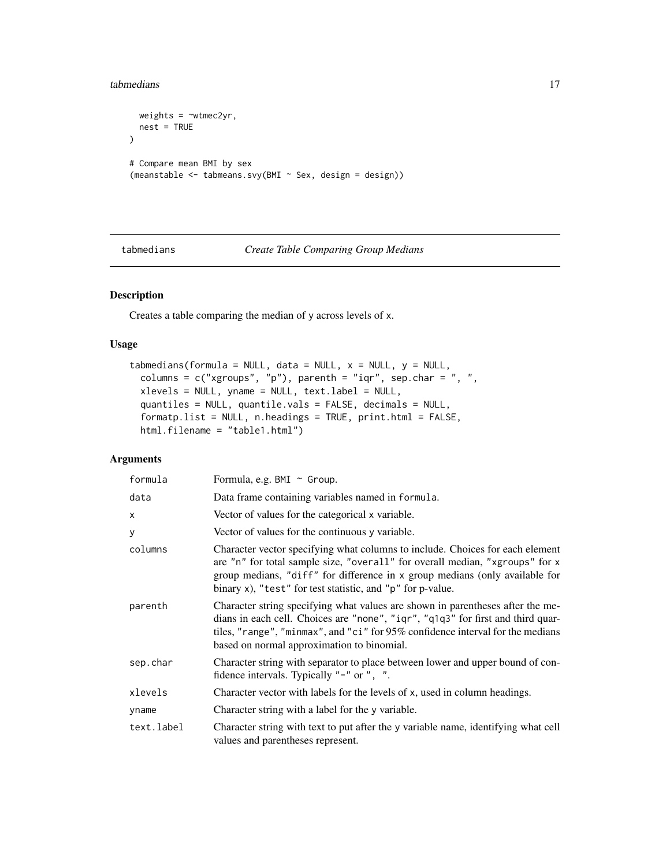```
weights = \simwtmec2yr,
  nest = TRUE
\mathcal{L}# Compare mean BMI by sex
(meanstable <- tabmeans.svy(BMI ~ Sex, design = design))
```
#### <span id="page-16-1"></span>tabmedians *Create Table Comparing Group Medians*

# Description

Creates a table comparing the median of y across levels of x.

# Usage

```
tabmedians(formula = NULL, data = NULL, x = NULL, y = NULL,
 columns = c("xgroups", "p"), parenth = "iqr", sep.char = ", ",
 xlevels = NULL, yname = NULL, text.label = NULL,
  quantiles = NULL, quantile.vals = FALSE, decimals = NULL,
  formatp.list = NULL, n.headings = TRUE, print.html = FALSE,
  html.filename = "table1.html")
```

| formula    | Formula, e.g. BMI ~ Group.                                                                                                                                                                                                                                                                                 |
|------------|------------------------------------------------------------------------------------------------------------------------------------------------------------------------------------------------------------------------------------------------------------------------------------------------------------|
| data       | Data frame containing variables named in formula.                                                                                                                                                                                                                                                          |
| X          | Vector of values for the categorical x variable.                                                                                                                                                                                                                                                           |
| У          | Vector of values for the continuous y variable.                                                                                                                                                                                                                                                            |
| columns    | Character vector specifying what columns to include. Choices for each element<br>are "n" for total sample size, "overall" for overall median, "xgroups" for x<br>group medians, "diff" for difference in x group medians (only available for<br>binary x), "test" for test statistic, and "p" for p-value. |
| parenth    | Character string specifying what values are shown in parentheses after the me-<br>dians in each cell. Choices are "none", "iqr", "q1q3" for first and third quar-<br>tiles, "range", "minmax", and "ci" for 95% confidence interval for the medians<br>based on normal approximation to binomial.          |
| sep.char   | Character string with separator to place between lower and upper bound of con-<br>fidence intervals. Typically "-" or ", ".                                                                                                                                                                                |
| xlevels    | Character vector with labels for the levels of x, used in column headings.                                                                                                                                                                                                                                 |
| yname      | Character string with a label for the y variable.                                                                                                                                                                                                                                                          |
| text.label | Character string with text to put after the y variable name, identifying what cell<br>values and parentheses represent.                                                                                                                                                                                    |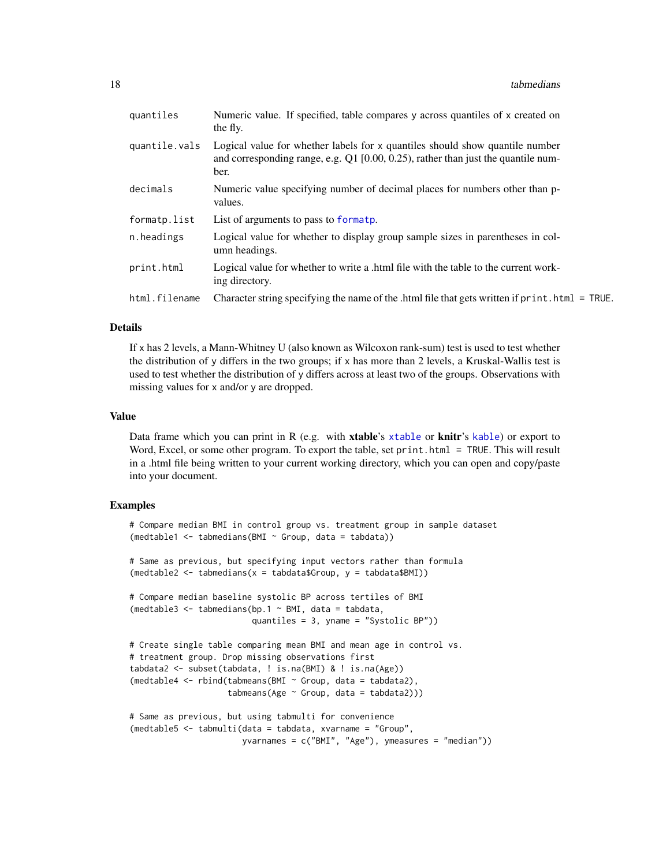<span id="page-17-0"></span>

| quantiles     | Numeric value. If specified, table compares y across quantiles of x created on<br>the fly.                                                                                |
|---------------|---------------------------------------------------------------------------------------------------------------------------------------------------------------------------|
| quantile.vals | Logical value for whether labels for x quantiles should show quantile number<br>and corresponding range, e.g. Q1 [0.00, 0.25), rather than just the quantile num-<br>ber. |
| decimals      | Numeric value specifying number of decimal places for numbers other than p-<br>values.                                                                                    |
| formatp.list  | List of arguments to pass to formatp.                                                                                                                                     |
| n.headings    | Logical value for whether to display group sample sizes in parentheses in col-<br>umn headings.                                                                           |
| print.html    | Logical value for whether to write a .html file with the table to the current work-<br>ing directory.                                                                     |
| html.filename | Character string specifying the name of the .html file that gets written if $print.html = TRUE$ .                                                                         |
|               |                                                                                                                                                                           |

#### Details

If x has 2 levels, a Mann-Whitney U (also known as Wilcoxon rank-sum) test is used to test whether the distribution of y differs in the two groups; if x has more than 2 levels, a Kruskal-Wallis test is used to test whether the distribution of y differs across at least two of the groups. Observations with missing values for x and/or y are dropped.

#### Value

Data frame which you can print in R (e.g. with **[xtable](#page-0-0)**'s xtable or **knitr**'s [kable](#page-0-0)) or export to Word, Excel, or some other program. To export the table, set print.html = TRUE. This will result in a .html file being written to your current working directory, which you can open and copy/paste into your document.

#### Examples

```
# Compare median BMI in control group vs. treatment group in sample dataset
(medtable1 <- tabmedians(BMI ~ Group, data = tabdata))
# Same as previous, but specifying input vectors rather than formula
(medtable2 <- tabmedians(x = tabdata$Group, y = tabdata$BMI))
# Compare median baseline systolic BP across tertiles of BMI
(medtable3 \leq tabmedians(bp.1 \sim BMI, data = tabdata,
                         quantiles = 3, yname = "Systolic BP"))
# Create single table comparing mean BMI and mean age in control vs.
# treatment group. Drop missing observations first
tabdata2 <- subset(tabdata, ! is.na(BMI) & ! is.na(Age))
(medtable4 <- rbind(tabmeans(BMI ~ Group, data = tabdata2),
                    tabmeans(Age ~ Group, data = tabdata2)))
# Same as previous, but using tabmulti for convenience
(medtable5 <- tabmulti(data = tabdata, xvarname = "Group",
                       yvarnames = c("BMI", "Age"), ymeasures = "median"))
```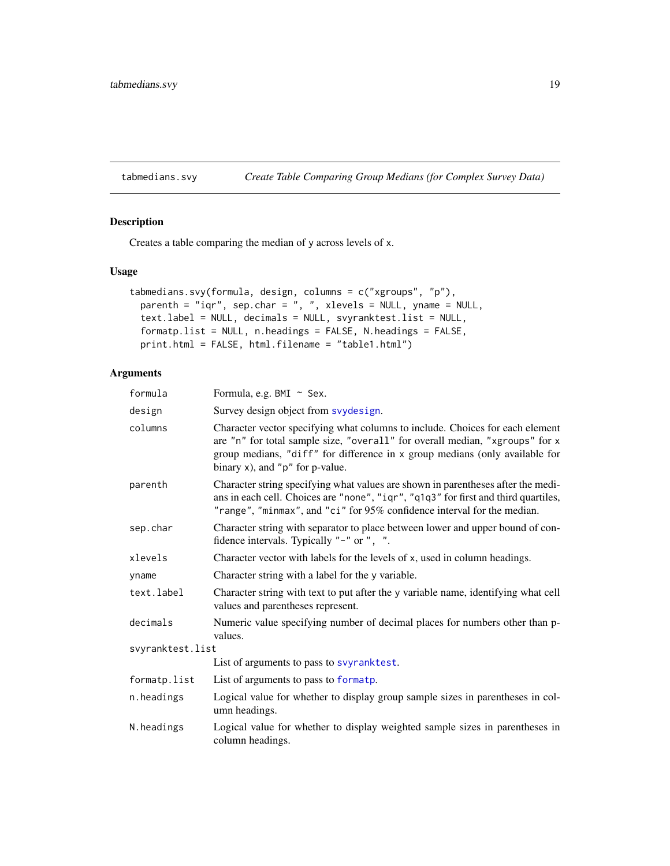### <span id="page-18-1"></span><span id="page-18-0"></span>tabmedians.svy *Create Table Comparing Group Medians (for Complex Survey Data)*

# Description

Creates a table comparing the median of y across levels of x.

#### Usage

```
tabmedians.svy(formula, design, columns = c("xgroups", "p"),
 parenth = "iqr", sep.char = ", ", xlevels = NULL, yname = NULL,
 text.label = NULL, decimals = NULL, svyranktest.list = NULL,
 formatp.list = NULL, n.headings = FALSE, N.headings = FALSE,
 print.html = FALSE, html.filename = "table1.html")
```

| formula          | Formula, e.g. BMI ~ Sex.                                                                                                                                                                                                                                                                  |
|------------------|-------------------------------------------------------------------------------------------------------------------------------------------------------------------------------------------------------------------------------------------------------------------------------------------|
| design           | Survey design object from svydesign.                                                                                                                                                                                                                                                      |
| columns          | Character vector specifying what columns to include. Choices for each element<br>are "n" for total sample size, "overall" for overall median, "xgroups" for x<br>group medians, "diff" for difference in x group medians (only available for<br>binary $x$ ), and " $p$ " for $p$ -value. |
| parenth          | Character string specifying what values are shown in parentheses after the medi-<br>ans in each cell. Choices are "none", "iqr", "q1q3" for first and third quartiles,<br>"range", "minmax", and "ci" for 95% confidence interval for the median.                                         |
| sep.char         | Character string with separator to place between lower and upper bound of con-<br>fidence intervals. Typically "-" or ", ".                                                                                                                                                               |
| xlevels          | Character vector with labels for the levels of x, used in column headings.                                                                                                                                                                                                                |
| yname            | Character string with a label for the y variable.                                                                                                                                                                                                                                         |
| text.label       | Character string with text to put after the y variable name, identifying what cell<br>values and parentheses represent.                                                                                                                                                                   |
| decimals         | Numeric value specifying number of decimal places for numbers other than p-<br>values.                                                                                                                                                                                                    |
| svyranktest.list |                                                                                                                                                                                                                                                                                           |
|                  | List of arguments to pass to svyranktest.                                                                                                                                                                                                                                                 |
| formatp.list     | List of arguments to pass to formatp.                                                                                                                                                                                                                                                     |
| n.headings       | Logical value for whether to display group sample sizes in parentheses in col-<br>umn headings.                                                                                                                                                                                           |
| N.headings       | Logical value for whether to display weighted sample sizes in parentheses in<br>column headings.                                                                                                                                                                                          |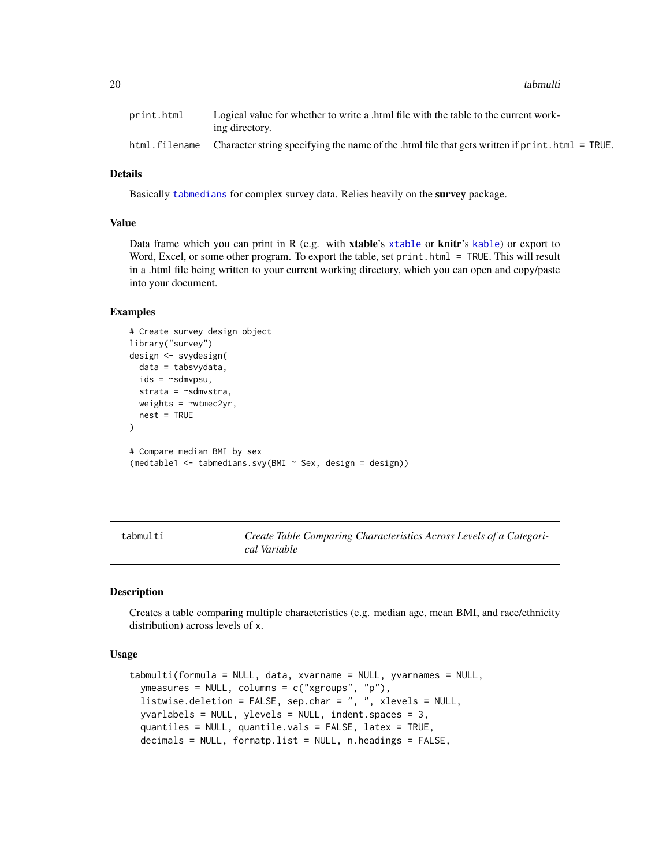<span id="page-19-0"></span>20 tabmulti

| print.html | Logical value for whether to write a html file with the table to the current work-<br>ing directory.         |
|------------|--------------------------------------------------------------------------------------------------------------|
|            | html.filename Character string specifying the name of the .html file that gets written if print.html = TRUE. |

### Details

Basically [tabmedians](#page-16-1) for complex survey data. Relies heavily on the survey package.

#### Value

Data frame which you can print in R (e.g. with [xtable](#page-0-0)'s xtable or knitr's [kable](#page-0-0)) or export to Word, Excel, or some other program. To export the table, set print.html = TRUE. This will result in a .html file being written to your current working directory, which you can open and copy/paste into your document.

#### Examples

```
# Create survey design object
library("survey")
design <- svydesign(
  data = tabsvydata,
  ids = ~sdmvpsu,
  strata = ~sdmvstra,
  weights = \simwtmec2yr,
  nest = TRUE
)
# Compare median BMI by sex
(medtable1 <- tabmedians.svy(BMI ~ Sex, design = design))
```
<span id="page-19-1"></span>tabmulti *Create Table Comparing Characteristics Across Levels of a Categorical Variable*

#### Description

Creates a table comparing multiple characteristics (e.g. median age, mean BMI, and race/ethnicity distribution) across levels of x.

### Usage

```
tabmulti(formula = NULL, data, xvarname = NULL, yvarnames = NULL,
 ymeasures = NULL, columns = c("xgroups", "p"),
 listwise.deletion = FALSE, sep.char = ", ", xlevels = NULL,
 yvarlabels = NULL, ylevels = NULL, indent.spaces = 3,
 quantiles = NULL, quantile.vals = FALSE, latex = TRUE,
 decimals = NULL, formatp.list = NULL, n.headings = FALSE,
```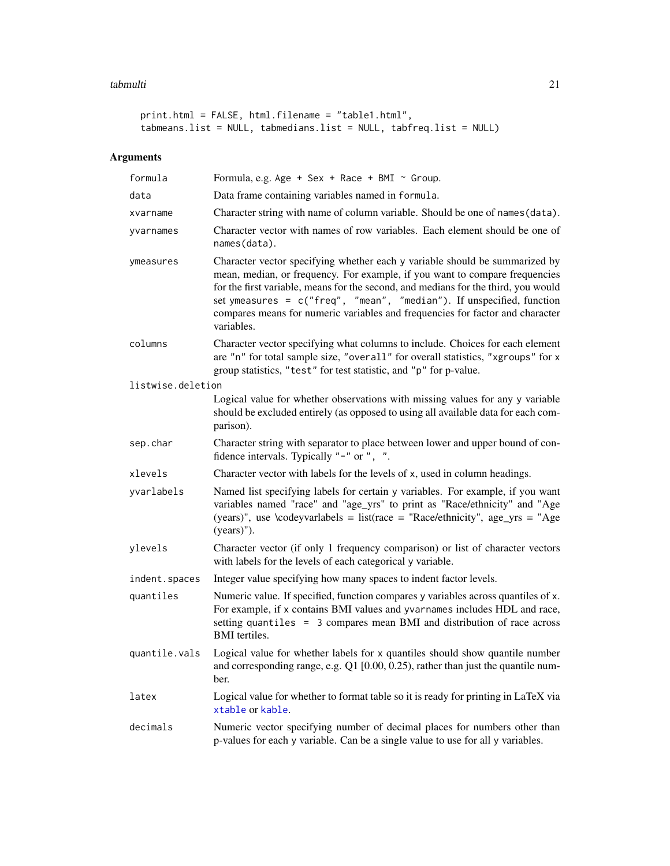#### tabmulti 21

```
print.html = FALSE, html.filename = "table1.html",
tabmeans.list = NULL, tabmedians.list = NULL, tabfreq.list = NULL)
```

| formula           | Formula, e.g. Age + Sex + Race + BMI ~ Group.                                                                                                                                                                                                                                                                                                                                                                            |
|-------------------|--------------------------------------------------------------------------------------------------------------------------------------------------------------------------------------------------------------------------------------------------------------------------------------------------------------------------------------------------------------------------------------------------------------------------|
| data              | Data frame containing variables named in formula.                                                                                                                                                                                                                                                                                                                                                                        |
| xvarname          | Character string with name of column variable. Should be one of names (data).                                                                                                                                                                                                                                                                                                                                            |
| yvarnames         | Character vector with names of row variables. Each element should be one of<br>names(data).                                                                                                                                                                                                                                                                                                                              |
| ymeasures         | Character vector specifying whether each y variable should be summarized by<br>mean, median, or frequency. For example, if you want to compare frequencies<br>for the first variable, means for the second, and medians for the third, you would<br>set ymeasures = c("freq", "mean", "median"). If unspecified, function<br>compares means for numeric variables and frequencies for factor and character<br>variables. |
| columns           | Character vector specifying what columns to include. Choices for each element<br>are "n" for total sample size, "overall" for overall statistics, "xgroups" for x<br>group statistics, "test" for test statistic, and "p" for p-value.                                                                                                                                                                                   |
| listwise.deletion |                                                                                                                                                                                                                                                                                                                                                                                                                          |
|                   | Logical value for whether observations with missing values for any y variable<br>should be excluded entirely (as opposed to using all available data for each com-<br>parison).                                                                                                                                                                                                                                          |
| sep.char          | Character string with separator to place between lower and upper bound of con-<br>fidence intervals. Typically "-" or ", ".                                                                                                                                                                                                                                                                                              |
| xlevels           | Character vector with labels for the levels of x, used in column headings.                                                                                                                                                                                                                                                                                                                                               |
| yvarlabels        | Named list specifying labels for certain y variables. For example, if you want<br>variables named "race" and "age_yrs" to print as "Race/ethnicity" and "Age<br>(years)", use \codeyvarlabels = list(race = "Race/ethnicity", age_yrs = "Age<br>$(years)$ ").                                                                                                                                                            |
| ylevels           | Character vector (if only 1 frequency comparison) or list of character vectors<br>with labels for the levels of each categorical y variable.                                                                                                                                                                                                                                                                             |
| indent.spaces     | Integer value specifying how many spaces to indent factor levels.                                                                                                                                                                                                                                                                                                                                                        |
| quantiles         | Numeric value. If specified, function compares y variables across quantiles of x.<br>For example, if x contains BMI values and yvarnames includes HDL and race,<br>setting quantiles = 3 compares mean BMI and distribution of race across<br><b>BMI</b> tertiles.                                                                                                                                                       |
| quantile.vals     | Logical value for whether labels for x quantiles should show quantile number<br>and corresponding range, e.g. $Q1$ [0.00, 0.25), rather than just the quantile num-<br>ber.                                                                                                                                                                                                                                              |
| latex             | Logical value for whether to format table so it is ready for printing in LaTeX via<br>xtable or kable.                                                                                                                                                                                                                                                                                                                   |
| decimals          | Numeric vector specifying number of decimal places for numbers other than<br>p-values for each y variable. Can be a single value to use for all y variables.                                                                                                                                                                                                                                                             |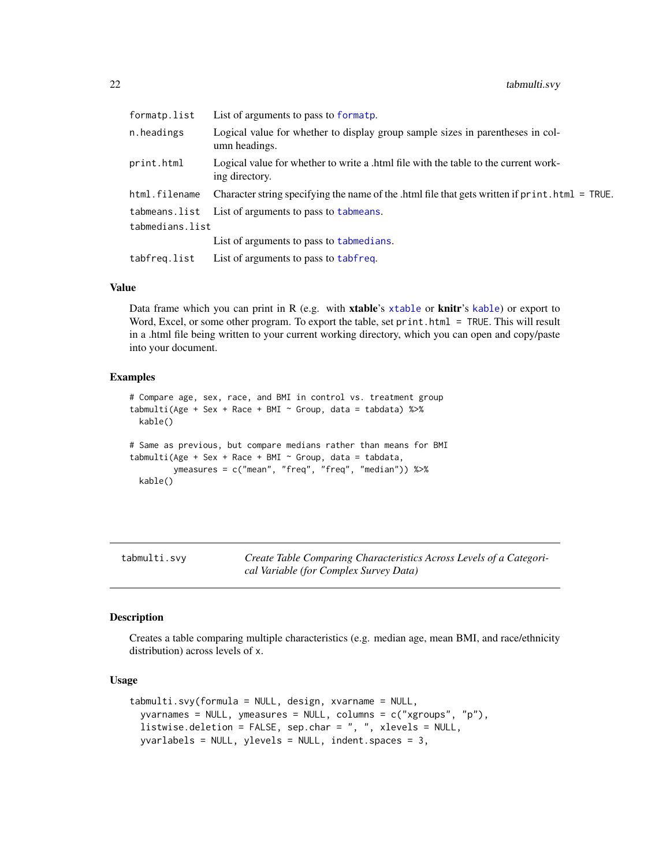<span id="page-21-0"></span>

| formatp.list    | List of arguments to pass to formatp.                                                                 |
|-----------------|-------------------------------------------------------------------------------------------------------|
| n.headings      | Logical value for whether to display group sample sizes in parentheses in col-<br>umn headings.       |
| print.html      | Logical value for whether to write a .html file with the table to the current work-<br>ing directory. |
| html.filename   | Character string specifying the name of the .html file that gets written if print.html = TRUE.        |
|                 | tabmeans. list List of arguments to pass to tabmeans.                                                 |
| tabmedians.list |                                                                                                       |
|                 | List of arguments to pass to tabmedians.                                                              |
| tabfreq.list    | List of arguments to pass to tabfreq.                                                                 |

#### Value

Data frame which you can print in R (e.g. with **[xtable](#page-0-0)**'s xtable or **knitr**'s [kable](#page-0-0)) or export to Word, Excel, or some other program. To export the table, set print.html = TRUE. This will result in a .html file being written to your current working directory, which you can open and copy/paste into your document.

#### Examples

```
# Compare age, sex, race, and BMI in control vs. treatment group
tabmulti(Age + Sex + Race + BMI \sim Group, data = tabdata) %\gg%
 kable()
# Same as previous, but compare medians rather than means for BMI
tabmulti(Age + Sex + Race + BMI \sim Group, data = tabdata,
         ymeasures = c("mean", "freq", "freq", "median")) %>%
 kable()
```
tabmulti.svy *Create Table Comparing Characteristics Across Levels of a Categorical Variable (for Complex Survey Data)*

#### Description

Creates a table comparing multiple characteristics (e.g. median age, mean BMI, and race/ethnicity distribution) across levels of x.

#### Usage

```
tabmulti.svy(formula = NULL, design, xvarname = NULL,
  yvarnames = NULL, ymeasures = NULL, columns = c("xgroups", "p"),
  listwise.deletion = FALSE, sep.char = ", ", xlevels = NULL,
 yvarlabels = NULL, ylevels = NULL, indent.spaces = 3,
```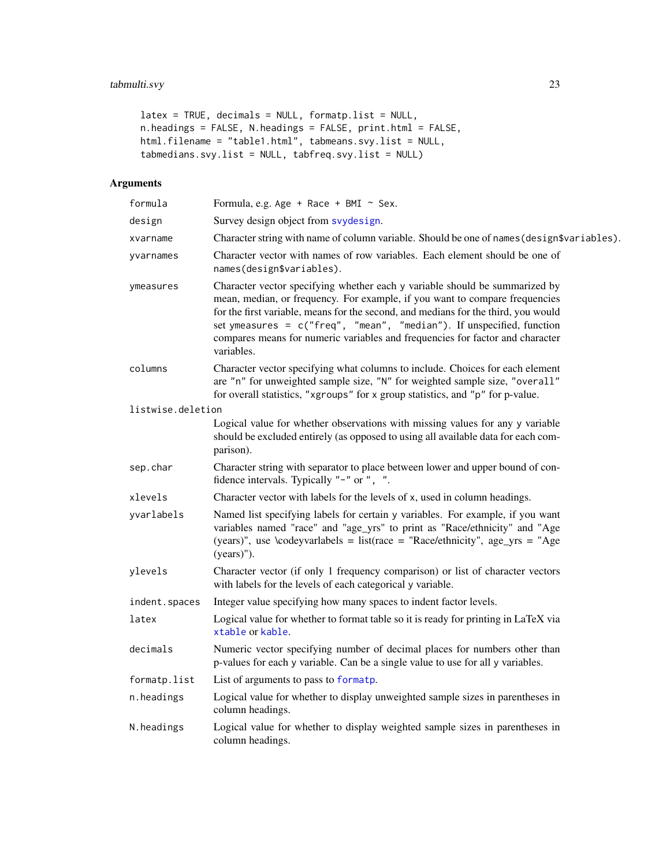# <span id="page-22-0"></span>tabmulti.svy 23

```
latex = TRUE, decimals = NULL, formatp.list = NULL,
n.headings = FALSE, N.headings = FALSE, print.html = FALSE,
html.filename = "table1.html", tabmeans.svy.list = NULL,
tabmedians.svy.list = NULL, tabfreq.svy.list = NULL)
```

| formula           | Formula, e.g. Age + Race + BMI $\sim$ Sex.                                                                                                                                                                                                                                                                                                                                                                                 |
|-------------------|----------------------------------------------------------------------------------------------------------------------------------------------------------------------------------------------------------------------------------------------------------------------------------------------------------------------------------------------------------------------------------------------------------------------------|
| design            | Survey design object from syydesign.                                                                                                                                                                                                                                                                                                                                                                                       |
| xvarname          | Character string with name of column variable. Should be one of names (design\$variables).                                                                                                                                                                                                                                                                                                                                 |
| yvarnames         | Character vector with names of row variables. Each element should be one of<br>names(design\$variables).                                                                                                                                                                                                                                                                                                                   |
| ymeasures         | Character vector specifying whether each y variable should be summarized by<br>mean, median, or frequency. For example, if you want to compare frequencies<br>for the first variable, means for the second, and medians for the third, you would<br>set ymeasures = $c("freq", "mean", "median").$ If unspecified, function<br>compares means for numeric variables and frequencies for factor and character<br>variables. |
| columns           | Character vector specifying what columns to include. Choices for each element<br>are "n" for unweighted sample size, "N" for weighted sample size, "overall"<br>for overall statistics, "xgroups" for x group statistics, and "p" for p-value.                                                                                                                                                                             |
| listwise.deletion |                                                                                                                                                                                                                                                                                                                                                                                                                            |
|                   | Logical value for whether observations with missing values for any y variable<br>should be excluded entirely (as opposed to using all available data for each com-<br>parison).                                                                                                                                                                                                                                            |
| sep.char          | Character string with separator to place between lower and upper bound of con-<br>fidence intervals. Typically "-" or ", ".                                                                                                                                                                                                                                                                                                |
| xlevels           | Character vector with labels for the levels of x, used in column headings.                                                                                                                                                                                                                                                                                                                                                 |
| yvarlabels        | Named list specifying labels for certain y variables. For example, if you want<br>variables named "race" and "age_yrs" to print as "Race/ethnicity" and "Age<br>(years)", use \codeyvarlabels = list(race = "Race/ethnicity", age_yrs = "Age<br>$(years)$ ").                                                                                                                                                              |
| ylevels           | Character vector (if only 1 frequency comparison) or list of character vectors<br>with labels for the levels of each categorical y variable.                                                                                                                                                                                                                                                                               |
| indent.spaces     | Integer value specifying how many spaces to indent factor levels.                                                                                                                                                                                                                                                                                                                                                          |
| latex             | Logical value for whether to format table so it is ready for printing in LaTeX via<br>xtable or kable.                                                                                                                                                                                                                                                                                                                     |
| decimals          | Numeric vector specifying number of decimal places for numbers other than<br>p-values for each y variable. Can be a single value to use for all y variables.                                                                                                                                                                                                                                                               |
| formatp.list      | List of arguments to pass to formatp.                                                                                                                                                                                                                                                                                                                                                                                      |
| n.headings        | Logical value for whether to display unweighted sample sizes in parentheses in<br>column headings.                                                                                                                                                                                                                                                                                                                         |
| N.headings        | Logical value for whether to display weighted sample sizes in parentheses in<br>column headings.                                                                                                                                                                                                                                                                                                                           |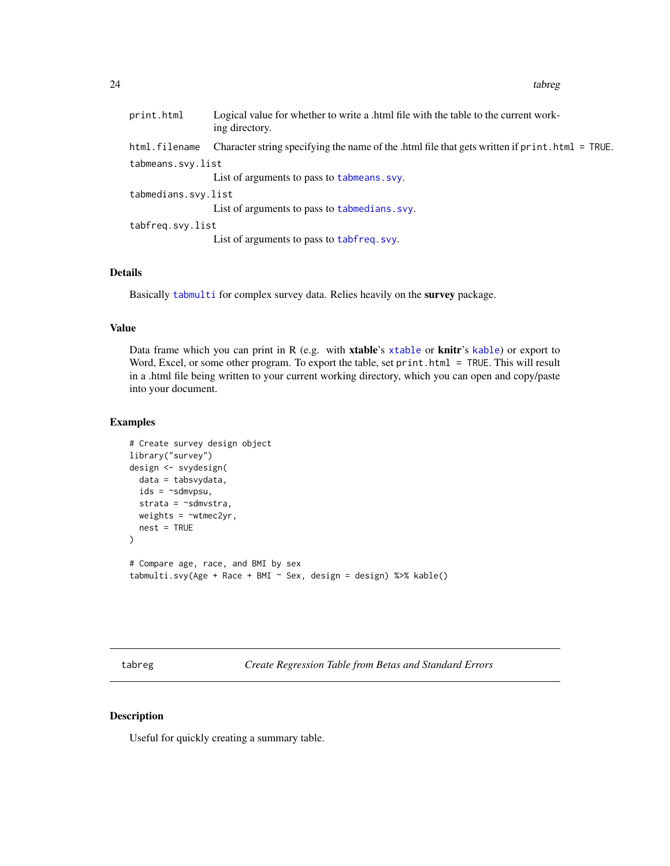<span id="page-23-0"></span>print.html Logical value for whether to write a .html file with the table to the current working directory. html.filename Character string specifying the name of the .html file that gets written if print.html = TRUE. tabmeans.svy.list List of arguments to pass to [tabmeans.svy](#page-14-1). tabmedians.svy.list List of arguments to pass to [tabmedians.svy](#page-18-1). tabfreq.svy.list List of arguments to pass to [tabfreq.svy](#page-7-1).

#### Details

Basically [tabmulti](#page-19-1) for complex survey data. Relies heavily on the survey package.

#### Value

Data frame which you can print in R (e.g. with **[xtable](#page-0-0)**'s xtable or **knitr**'s [kable](#page-0-0)) or export to Word, Excel, or some other program. To export the table, set print.html = TRUE. This will result in a .html file being written to your current working directory, which you can open and copy/paste into your document.

#### Examples

```
# Create survey design object
library("survey")
design <- svydesign(
 data = tabsvydata,
 ids = \sim sdmvpsu,strata = ~sdmvstra,
 weights = \simwtmec2yr,
 nest = TRUE
)
# Compare age, race, and BMI by sex
tabmulti.svy(Age + Race + BMI ~ Sex, design = design) %>% kable()
```
tabreg *Create Regression Table from Betas and Standard Errors*

#### Description

Useful for quickly creating a summary table.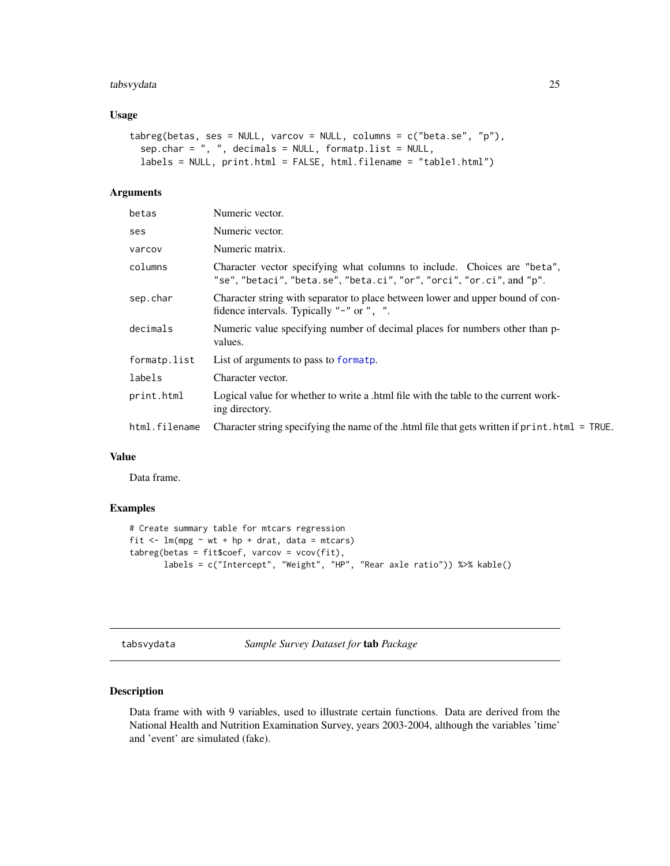### <span id="page-24-0"></span>tabsvydata 25

#### Usage

```
tabreg(betas, ses = NULL, varcov = NULL, columns = c("beta.se", "p"),
  sep{\ldots}har = ", ", decimals = NULL, formatp.list = NULL,
  labels = NULL, print.html = FALSE, html.filename = "table1.html")
```
# Arguments

| betas         | Numeric vector.                                                                                                                                   |
|---------------|---------------------------------------------------------------------------------------------------------------------------------------------------|
| ses           | Numeric vector.                                                                                                                                   |
| varcov        | Numeric matrix.                                                                                                                                   |
| columns       | Character vector specifying what columns to include. Choices are "beta",<br>"se", "betaci", "beta.se", "beta.ci", "or", "orci", "or.ci", and "p". |
| sep.char      | Character string with separator to place between lower and upper bound of con-<br>fidence intervals. Typically "-" or ", ".                       |
| decimals      | Numeric value specifying number of decimal places for numbers other than p-<br>values.                                                            |
| formatp.list  | List of arguments to pass to formatp.                                                                                                             |
| labels        | Character vector.                                                                                                                                 |
| print.html    | Logical value for whether to write a .html file with the table to the current work-<br>ing directory.                                             |
| html.filename | Character string specifying the name of the .html file that gets written if $print.html = TRUE$ .                                                 |

# Value

Data frame.

#### Examples

```
# Create summary table for mtcars regression
fit \leq - \ln(\text{mpg} \sim \text{wt} + \text{hp} + \text{drat}, \text{data} = \text{mtcars})tabreg(betas = fit$coef, varcov = vcov(fit),
        labels = c("Intercept", "Weight", "HP", "Rear axle ratio")) %>% kable()
```

```
tabsvydata Sample Survey Dataset for tab Package
```
### Description

Data frame with with 9 variables, used to illustrate certain functions. Data are derived from the National Health and Nutrition Examination Survey, years 2003-2004, although the variables 'time' and 'event' are simulated (fake).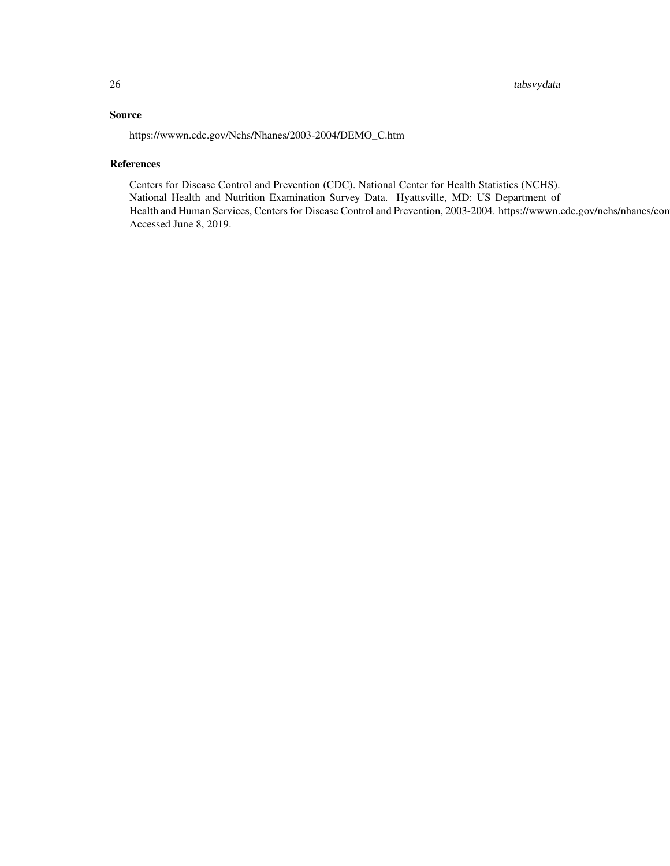26 tabsvydata

# Source

https://wwwn.cdc.gov/Nchs/Nhanes/2003-2004/DEMO\_C.htm

#### References

Centers for Disease Control and Prevention (CDC). National Center for Health Statistics (NCHS). National Health and Nutrition Examination Survey Data. Hyattsville, MD: US Department of Health and Human Services, Centers for Disease Control and Prevention, 2003-2004. https://wwwn.cdc.gov/nchs/nhanes/con Accessed June 8, 2019.